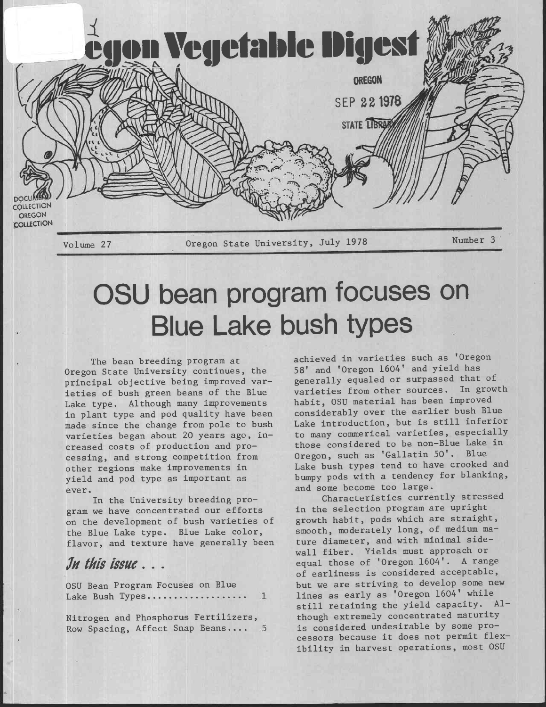

## OSU bean program focuses on Blue Lake bush types

The bean breeding program at Oregon State University continues, the principal objective being improved varieties of bush green beans of the Blue Lake type. Although many improvements in plant type and pod quality have been made since the change from pole to bush varieties began about 20 years ago, increased costs of production and processing, and strong competition from other regions make improvements in yield and pod type as important as ever.

In the University breeding program we have concentrated our efforts on the development of bush varieties of the Blue Lake type. Blue Lake color, flavor, and texture have generally been

## In this issue...

OSU Bean Program Focuses on Blue Lake Bush Types...................  $\mathbf{1}$ 

Nitrogen and Phosphorus Fertilizers, Row Spacing, Affect Snap Beans....

achieved in varieties such as 'Oregon 58' and 'Oregon 1604' and yield has generally equaled or surpassed that of varieties from other sources. In growth habit, OSU material has been improved considerably over the earlier bush Blue Lake introduction, but is still inferior to many commerical varieties, especially those considered to be non-Blue Lake in Oregon, such as 'Gallatin 50'. Blue Lake bush types tend to have crooked and bumpy pods with a tendency for blanking, and some become too large.

Characteristics currently stressed in the selection program are upright growth habit, pods which are straight, smooth, moderately long, of medium mature diameter, and with minimal sidewall fiber. Yields must approach or equal those of 'Oregon. 1604'. A range of earliness is considered acceptable, but we are striving to develop some new lines as early as 'Oregon 1604' while still retaining the yield capacity. Al though extremely concentrated maturity is considered undesirable by some processors because it does not permit flexibility in harvest operations, most OSU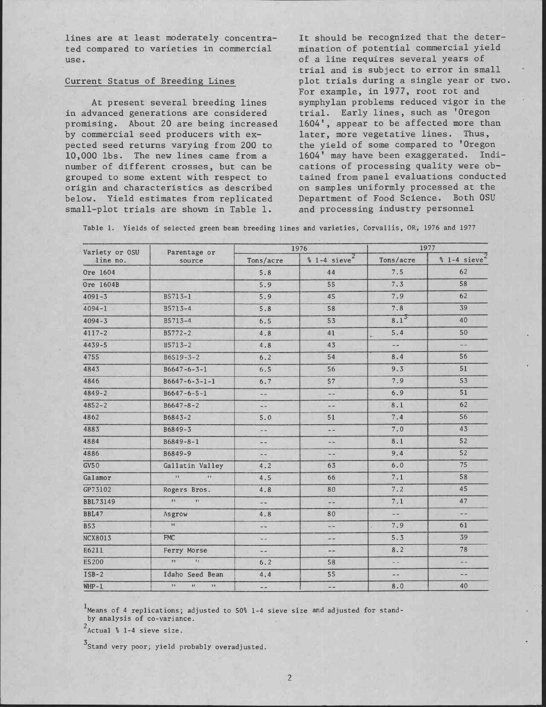lines are at least moderately concentrated compared to varieties in commercial use.

## Current Status of Breeding Lines

At present several breeding lines in advanced generations are considered promising. About 20 are being increased by commercial seed producers with expected seed returns varying from 200 to 10,000 lbs. The new lines came from a number of different crosses, but can be grouped to some extent with respect to origin and characteristics as described below. Yield estimates from replicated small-plot trials are shown in Table 1.

It should be recognized that the determination of potential commercial yield of a line requires several years of trial and is subject to error in small plot trials during a single year or two. For example, in 1977, root rot and symphylan problems reduced vigor in the trial. Early lines, such as 'Oregon 1604', appear to be affected more than later, more vegetative lines. Thus, the yield of some compared to 'Oregon 1604' may have been exaggerated. Indications of processing quality were obtained from panel evaluations conducted on samples uniformly processed at the Department of Food Science. Both OSU and processing industry personnel

Table 1. Yields of selected green bean breeding lines and varieties, Corvallis, OR, 1976 and 1977

| Variety or OSU  | Parentage or                 |               | 1976                    | 1977                     |                            |  |
|-----------------|------------------------------|---------------|-------------------------|--------------------------|----------------------------|--|
| line no.        | source                       | Tons/acre     | $% 1-4 \text{ sieve}^2$ | Tons/acre                | $% 1-4$ sieve <sup>*</sup> |  |
| Ore 1604        |                              | 5.8           | 44                      | 7.5                      | 62                         |  |
| Ore 1604B       |                              | 5.9           | 55                      | 7.3                      | 58                         |  |
| $4091 - 3$      | B5713-1                      | 5.9           | 45                      | 7.9                      | 62                         |  |
| $4094 - 1$      | B5713-4                      | 5.8           | 58                      | 7.8                      | 39                         |  |
| $4094 - 3$      | B5713-4                      | 6.5           | 53                      | $8.1^{3}$                | 40                         |  |
| $4117 - 2$      | $B5772 - 2$                  | 4.8           | 41                      | 5.4                      | 50                         |  |
| $4439 - 5$      | B5713-2                      | 4.8           | 43                      | $- -$                    | $-1$                       |  |
| 4755            | $B6519 - 3 - 2$              | 6.2           | 54                      | 8.4                      | 56                         |  |
| 4843            | $B6647 - 6 - 3 - 1$          | 6.5           | 56                      | 9.3                      | 51                         |  |
| 4846            | $B6647 - 6 - 3 - 1 - 1$      | 6.7           | 57                      | 7.9                      | 53                         |  |
| $4849 - 2$      | $B6647 - 6 - 5 - 1$          | --            | $\rightarrow$           | 6.9                      | 51                         |  |
| $4852 - 2$      | $B6647 - 8 - 2$              | --            | $-1$                    | 8.1                      | 62                         |  |
| 4862            | $B6843 - 2$                  | 5.0           | 51                      | 7.4                      | 56                         |  |
| 4883            | B6849-3                      | $ -$          | $\frac{1}{2}$           | 7.0                      | 43                         |  |
| 4884            | $B6849 - 8 - 1$              | $-$           | $-1$                    | 8.1                      | 52                         |  |
| 4886            | B6849-9                      | --            | $ -$                    | 9.4                      | 52                         |  |
| GV50            | Gallatin Valley              | 4.2           | 63                      | 6.0                      | 75                         |  |
| Galamor         | 17.<br>11                    | 4.5           | 66                      | 7.1                      | 58                         |  |
| GP73102         | Rogers Bros.                 | 4.8           | 80                      | 7.2                      | 45                         |  |
| <b>BBL73149</b> | tt<br>$\mathcal{M}$          | $-1$          | $-1$                    | 7.1                      | 47                         |  |
| BBL47           | Asgrow                       | 4.8           | 80                      | $\overline{\phantom{a}}$ | - 8                        |  |
| <b>B53</b>      | $\mathbf{H}$                 | --            | $- -$                   | 7.9                      | 61                         |  |
| <b>NCX8013</b>  | <b>FMC</b>                   | $\dots$       | $ -$                    | 5.3                      | 39                         |  |
| E6211           | Ferry Morse                  | $\sim$ $\sim$ | $-1$                    | 8.2                      | 78                         |  |
| E5200           | $\mathbf{H}$<br>ty.          | 6.2           | 58                      | $\omega$ $\omega$        | ana.                       |  |
| $ISB-2$         | Idaho Seed Bean              | 4.4           | 55                      | $\sim$                   | $\sim$ $-$                 |  |
| $WHP-1$         | H<br>$\overline{11}$<br>11.7 | --            | --                      | 8.0                      | 40                         |  |

<sup>1</sup> Means of 4 replications; adjusted to 50% 1-4 sieve size and adjusted for standby analysis of co-variance.

 $2$ Actual % 1-4 sieve size.

<sup>3</sup>Stand very poor; yield probably overadjusted.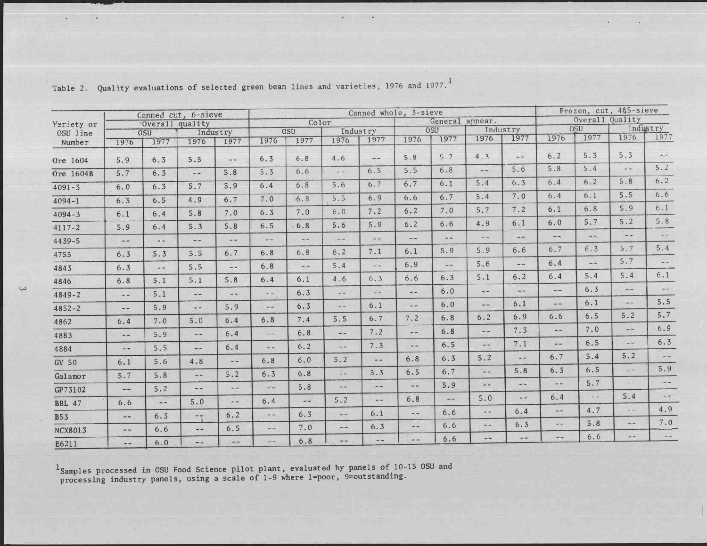| Variety or     | Canned cut, 6-sieve<br>Overall quality |               |                 | Canned whole, 3-sieve                        |                |                        |                                                                                                                                                                                                                                                                                                                                                                                              |                   |                                                                                 |               | Frozen, cut, 4&5-sieve |                 |               |                |               |                                                                     |
|----------------|----------------------------------------|---------------|-----------------|----------------------------------------------|----------------|------------------------|----------------------------------------------------------------------------------------------------------------------------------------------------------------------------------------------------------------------------------------------------------------------------------------------------------------------------------------------------------------------------------------------|-------------------|---------------------------------------------------------------------------------|---------------|------------------------|-----------------|---------------|----------------|---------------|---------------------------------------------------------------------|
|                |                                        |               |                 | Color                                        |                |                        | General appear.                                                                                                                                                                                                                                                                                                                                                                              |                   |                                                                                 |               |                        | Overall Quality |               |                |               |                                                                     |
| OSU line       |                                        | OSU           |                 | Industry                                     |                | <b>OSU</b><br>Industry |                                                                                                                                                                                                                                                                                                                                                                                              |                   | <b>OSU</b>                                                                      |               |                        | Industry        |               | <b>OSU</b>     |               | Industry                                                            |
| Number         | 1976                                   | 1977          | 1976            | 1977                                         | 1976           | 1977                   | 1976                                                                                                                                                                                                                                                                                                                                                                                         | 1977              | 1976                                                                            | 1977          | 1976                   | 1977            | 1976          | 1977           | 1976          | 1977                                                                |
| Ore 1604       | 5.9                                    | 6.3           | 5.5             | $\frac{d}{dt} \frac{d}{dt} \frac{d\phi}{dt}$ | 6.3            | 6.8                    | 4.6                                                                                                                                                                                                                                                                                                                                                                                          | m/m               | 5.8                                                                             | 5.7           | 4.3                    | $-1$            | 6.2           | 5.3            | 5.3           |                                                                     |
| Ore 1604B      | 5.7                                    | 6.3           | $\frac{1}{2}$ . | 5.8                                          | 5.3            | 6.6                    | $\frac{1}{2}$                                                                                                                                                                                                                                                                                                                                                                                | 6.5               | 5.5                                                                             | 6.8           | $\frac{1}{2}$          | 5.6             | 5.8           | 5.4            | $\sim -1$     | 5.2                                                                 |
| $4091 - 3$     | 6.0                                    | 6.3           | 5.7             | 5.9                                          | 6.4            | 6.8                    | 5.6                                                                                                                                                                                                                                                                                                                                                                                          | 6.7               | 6.7                                                                             | 6.1           | 5.4                    | 6.3             | $6.4$         | 6.2            | 5.8           | 6.2                                                                 |
| $4094 - 1$     | 6.3                                    | 6.5           | 4.9             | 6.7                                          | 7.0            | 6.8                    | 5.5                                                                                                                                                                                                                                                                                                                                                                                          | 6.9               | 6.6                                                                             | 6.7           | 5.4                    | 7.0             | 6.4           | 6.1            | 5.5           | $6.6$                                                               |
| $4094 - 3$     | 6.1                                    | 6.4           | 5.8             | 7.0                                          | 6.3            | 7.0                    | 6.0                                                                                                                                                                                                                                                                                                                                                                                          | 7.2               | 6.2                                                                             | 7.0           | 5.7                    | 7.2             | 6.1           | 6.8            | 5.9           | 6.1                                                                 |
| $4117 - 2$     | 5.9                                    | 6.4           | 5.3             | 5.8                                          | 6.5            | 6.8                    | 5.6                                                                                                                                                                                                                                                                                                                                                                                          | 5.9               | 6.2                                                                             | 6.6           | 4.9                    | 6.1             | $6.0$         | 5.7            | 5.2           | 5.8                                                                 |
| $4439 - 5$     | $\overline{\phantom{m}}$               | $\frac{1}{2}$ | $\cdots$        | $\sim 10$                                    | m m            | $-1$                   | $\sim$                                                                                                                                                                                                                                                                                                                                                                                       | $\frac{1}{2}$     | $\omega =$                                                                      | <b>SILLER</b> | $- -$                  | ww.             | $-$           | $m =$          | $- -$         | $\frac{1}{2} \left( \frac{1}{2} \right) \left( \frac{1}{2} \right)$ |
| 4755           | 6.3                                    | 5.3           | 5.5             | 6.7                                          | 6.8            | 6.8                    | 6.2                                                                                                                                                                                                                                                                                                                                                                                          | 7.1               | 6.1                                                                             | 5.9           | 5.9                    | 6.6             | 6.7           | 6.3            | 5.7           | 5.4                                                                 |
| 4843           | 6.3                                    | $\omega$ as:  | 5.5             | $+ -$                                        | 6.8            | $\rightarrow$          | 5.4                                                                                                                                                                                                                                                                                                                                                                                          | $\omega$ $\omega$ | 6.9                                                                             | $\frac{1}{2}$ | 5.6                    | $\rightarrow$   | 6.4           | $\cdots$       | 5.7           | $\sim$ $\sim$                                                       |
| 4846           | 6.8                                    | 5.1           | 5.1             | 5.8                                          | 6.4            | 6.1                    | 4.6                                                                                                                                                                                                                                                                                                                                                                                          | 6.3               | 6.6                                                                             | 6.3           | 5.1                    | 6.2             | 6.4           | 5.4            | 5.4           | 6.1                                                                 |
| $4849 - 2$     | $- -$                                  | 5.1           | $-1$            | $-1$                                         | 550            | 6.3                    | $\omega$ $\omega$                                                                                                                                                                                                                                                                                                                                                                            | $\omega$ .        | $\frac{1}{2}$                                                                   | 6.0           | $\frac{1}{2}$          | $+ +$           | $-$           | 6.3            | $=$ $-$       | $\sim$ $\sim$                                                       |
| $4852 - 2$     | $-1$                                   | 5.9           | $\sim$ $-$      | 5.9                                          | $-1$           | 6.3                    | $\frac{1}{2} \frac{1}{2} \frac{1}{2} \frac{1}{2} \frac{1}{2} \frac{1}{2} \frac{1}{2} \frac{1}{2} \frac{1}{2} \frac{1}{2} \frac{1}{2} \frac{1}{2} \frac{1}{2} \frac{1}{2} \frac{1}{2} \frac{1}{2} \frac{1}{2} \frac{1}{2} \frac{1}{2} \frac{1}{2} \frac{1}{2} \frac{1}{2} \frac{1}{2} \frac{1}{2} \frac{1}{2} \frac{1}{2} \frac{1}{2} \frac{1}{2} \frac{1}{2} \frac{1}{2} \frac{1}{2} \frac{$ | 6.1               | $\frac{1}{2} \left( \frac{1}{2} \right) \frac{1}{2} \left( \frac{1}{2} \right)$ | 6.0           | $\overline{a}$         | 6.1             | $-$           | 6.1            | $\frac{1}{2}$ | 5.5                                                                 |
| 4862           | 6.4                                    | 7.0           | 5.0             | 6.4                                          | 6.8            | 7.4                    | 5.5                                                                                                                                                                                                                                                                                                                                                                                          | 6.7               | 7.2                                                                             | 6.8           | 6.2                    | 6.9             | 6.6           | 6.5            | 5.2           | 5.7                                                                 |
| 4883           | $ -$                                   | 5.9           | $\sim$ $-$      | 6.4                                          | $\frac{1}{2}$  | 6.8                    | $\frac{1}{2} \frac{1}{2} \frac{1}{2} \frac{1}{2} \frac{1}{2} \frac{1}{2} \frac{1}{2} \frac{1}{2} \frac{1}{2} \frac{1}{2} \frac{1}{2} \frac{1}{2} \frac{1}{2} \frac{1}{2} \frac{1}{2} \frac{1}{2} \frac{1}{2} \frac{1}{2} \frac{1}{2} \frac{1}{2} \frac{1}{2} \frac{1}{2} \frac{1}{2} \frac{1}{2} \frac{1}{2} \frac{1}{2} \frac{1}{2} \frac{1}{2} \frac{1}{2} \frac{1}{2} \frac{1}{2} \frac{$ | 7.2               | $\rightarrow$                                                                   | 6.8           | $+ -$                  | 7.3             | $- -$         | 7.0            | $\frac{1}{2}$ | 6.9                                                                 |
| 4884           | $- -$                                  | 5.5           | $\sim$          | 6.4                                          | --             | 6.2                    | $\frac{1}{2}$                                                                                                                                                                                                                                                                                                                                                                                | 7.3               | $\rightarrow$ $\rightarrow$                                                     | 6.5           | e.                     | 7.1             | $=$           | 6.5            | $-1$          | 6.3                                                                 |
| GV 50          | 6.1                                    | 5.6           | 4.8             | $-$                                          | $6.8$          | 6.0                    | 5.2                                                                                                                                                                                                                                                                                                                                                                                          | ana.              | 6.8                                                                             | 6.3           | 5.2                    | $\frac{1}{2}$   | 6.7           | 5.4            | 5.2           | $\frac{1}{2}$ , and                                                 |
| Galamor        | 5.7                                    | 5.8           | $\frac{1}{2}$   | 5.2                                          | 6.3            | 6.8                    | a ac                                                                                                                                                                                                                                                                                                                                                                                         | 5.3               | 6.5                                                                             | 6.7           | $\frac{1}{2}$          | 5.8             | 6.3           | 6.5            | a sa          | 5.9                                                                 |
| GP73102        | $-$                                    | 5.2           | $-1$            | $-$                                          | $\frac{1}{2}$  | 5.8                    | an sin                                                                                                                                                                                                                                                                                                                                                                                       | m(m)              | $m = 1$                                                                         | 5.9           | $-1$                   | $\frac{1}{2}$   | $-$           | 5.7            | $-1$          |                                                                     |
| <b>BBL 47</b>  | 6.6                                    | $\sim$ $-$    | 5.0             | $- -$                                        | 6.4            | $\sim$ $-$             | 5.2                                                                                                                                                                                                                                                                                                                                                                                          | $\overline{a}$    | 6.8                                                                             | $- -$         | 5.0                    | $- -$           | 6.4           | $\overline{a}$ | 5.4           | m(m)                                                                |
| <b>B53</b>     | $- -$                                  | 6.3           | $-1$            | 6.2                                          | $\overline{a}$ | 6.3                    | in and                                                                                                                                                                                                                                                                                                                                                                                       | 6.1               | $-$                                                                             | 6.6           | $\frac{1}{2}$          | 6.4             | $-1$          | 4.7            | $-1$          | 4.9                                                                 |
| <b>NCX8013</b> | $\rightarrow$                          | 6.6           | $- -$           | 6.5                                          | $\frac{1}{2}$  | 7.0                    | m/m                                                                                                                                                                                                                                                                                                                                                                                          | 6.3               | $- -$                                                                           | 6.6           | 22                     | 6.3             | $\frac{1}{2}$ | 5.8            | $m = 1$       | 7.0                                                                 |
| E6211          | $-1$                                   | 6.0           | $\mathcal{L}$   | Ξă.                                          | $- -$          | 6.8                    | $+ -$                                                                                                                                                                                                                                                                                                                                                                                        | ÷÷                | $- -$                                                                           | 6.6           | $\sim$ $\sim$          | $\frac{1}{2}$   | $-1$          | 6.6            | m, m          |                                                                     |

Table 2. Quality evaluations of selected green bean lines and varieties, 1976 and 1977.

<sup>1</sup>Samples processed in OSU Food Science pilot plant, evaluated by panels of  $10-15$  OSU and processing industry panels, using a scale of  $1-9$  where  $1=poor$ ,  $9=outstanding$ .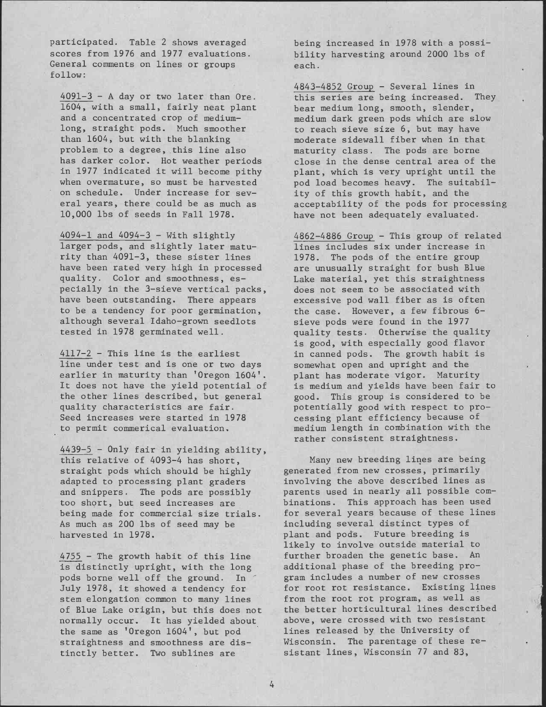participated. Table 2 shows averaged scores from 1976 and 1977 evaluations. General comments on lines or groups follow:

4091-3 - A day or two later than Ore. 1604, with a small, fairly neat plant and a concentrated crop of mediumlong, straight pods. Much smoother than 1604, but with the blanking problem to a degree, this line also has darker color. Hot weather periods in 1977 indicated it will become pithy when overmature, so must be harvested on schedule. Under increase for several years, there could be as much as 10,000 lbs of seeds in Fall 1978.

4094-1 and 4094-3 - With slightly larger pods, and slightly later maturity than 4091-3, these sister lines have been rated very high in processed quality. Color and smoothness, especially in the 3-sieve vertical packs, have been outstanding. There appears to be a tendency for poor germination, although several Idaho-grown seedlots tested in 1978 germinated well.

4117-2 - This line is the earliest line under test and is one or two days earlier in maturity than 'Oregon 1604'. It does not have the yield potential of the other lines described, but general quality characteristics are fair. Seed increases were started in 1978 to permit commerical evaluation,

4439-5 - Only fair in yielding ability, this relative of 4093-4 has short, straight pods which should be highly adapted to processing plant graders and snippers. The pods are possibly too short, but seed increases are being made for commercial size trials. As much as 200 lbs of seed may be harvested in 1978.

4755 - The growth habit of this line is distinctly upright, with the long pods borne well off the ground. In July 1978, it showed a tendency for stem elongation common to many lines of Blue Lake origin, but this does not normally occur. It has yielded about the same as 'Oregon 1604', but pod straightness and smoothness are distinctly better. Two sublines are

being increased in 1978 with a possibility harvesting around 2000 lbs of each.

4843-4852 Group - Several lines in this series are being increased. They bear medium long, smooth, slender, medium dark green pods which are slow to reach sieve size 6, but may have moderate sidewall fiber when in that maturity class. The pods are borne close in the dense central area of the plant, which is very upright until the pod load becomes heavy. The suitability of this growth habit, and the acceptability of the pods for processing have not been adequately evaluated.

4862-4886 Group - This group of related lines includes six under increase in 1978. The pods of the entire group are unusually straight for bush Blue Lake material, yet this straightness does not seem to be associated with excessive pod wall fiber as is often the case. However, a few fibrous 6 sieve pods were found in the 1977 quality tests. Otherwise the quality is good, with especially good flavor in canned pods. The growth habit is somewhat open and upright and the plant has moderate vigor. Maturity is medium and yields have been fair to good. This group is considered to be potentially good with respect to processing plant efficiency because of medium length in combination with the rather consistent straightness.

Many new breeding lines are being generated from new crosses, primarily involving the above described lines as parents used in nearly all possible combinations. This approach has been used for several years because of these lines including several distinct types of plant and pods. Future breeding is likely to involve outside material to further broaden the genetic base. An additional phase of the breeding program includes a number of new crosses for root rot resistance. Existing lines from the root rot program, as well as the better horticultural lines described above, were crossed with two resistant lines released by the University of Wisconsin. The parentage of these resistant lines, Wisconsin 77 and 83,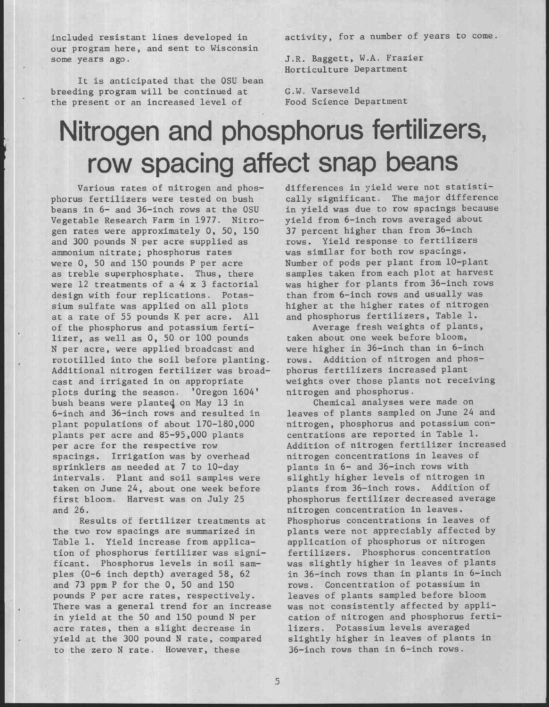included resistant lines developed in our program here, and sent to Wisconsin some years ago.

It is anticipated that the OSU bean breeding program will be continued at the present or an increased level of

activity, for a number of years to come.

J.R. Baggett, W.A. Frazier Horticulture Department

G.W. Varseveld Food Science Department

## Nitrogen and phosphorus fertilizers, row spacing affect snap beans

Various rates of nitrogen and phosphorus fertilizers were tested on bush beans in 6- and 36-inch rows at the OSU Vegetable Research Farm in 1977. Nitrogen rates were approximately 0, 50, 150 and 300 pounds N per acre supplied as ammonium nitrate; phosphorus rates were 0, 50 and 150 pounds P per acre as treble superphosphate. Thus, there were 12 treatments of a 4 x 3 factorial design with four replications. Potassium sulfate was applied on all plots at a rate of 55 pounds K per acre. All of the phosphorus and potassium fertilizer, as well as 0, 50 or 100 pounds N per acre, were applied broadcast and rototilled into the soil before planting. Additional nitrogen fertilizer was broadcast and irrigated in on appropriate plots during the season. 'Oregon 1604' bush beans were planted on May 13 in 6-inch and 36-inch rows and resulted in plant populations of about 170-180,000 plants per acre and 85-95,000 plants per acre for the respective row spacings. Irrigation was by overhead sprinklers as needed at 7 to 10-day intervals. Plant and soil samples were taken on June 24, about one week before first bloom. Harvest was on July 25 and 26.

Results of fertilizer treatments at the two row spacings are summarized in Table 1. Yield increase from application of phosphorus fertilizer was significant. Phosphorus levels in soil sampies (0-6 inch depth) averaged 58, 62 and 73 ppm P for the 0, 50 and 150 pounds P per acre rates, respectively. There was a general trend for an increase in yield at the 50 and 150 pound N per acre rates, then a slight decrease in yield at the 300 pound N rate, compared to the zero N rate. However, these

differences in yield were not statistically significant. The major difference in yield was due to row spacings because yield from 6-inch rows averaged about 37 percent higher than from 36-inch rows. Yield response to fertilizers was similar for both row spacings. Number of pods per plant from 10-plant samples taken from each plot at harvest was higher for plants from 36-inch rows than from 6-inch rows and usually was higher at the higher rates of nitrogen and phosphorus fertilizers, Table 1.

Average fresh weights of plants, taken about one week before bloom, were higher in 36-inch than in 6-inch rows. Addition of nitrogen and phosphorus fertilizers increased plant weights over those plants not receiving nitrogen and phosphorus.

Chemical analyses were made on leaves of plants sampled on June 24 and nitrogen, phosphorus and potassium concentrations are reported in Table 1. Addition of nitrogen fertilizer increased nitrogen concentrations in leaves of plants in 6- and 36-inch rows with slightly higher levels of nitrogen in plants from 36-inch rows. Addition of phosphorus fertilizer decreased average nitrogen concentration in leaves. Phosphorus concentrations in leaves of plants were not appreciably affected by application of phosphorus or nitrogen fertilizers. Phosphorus concentration was slightly higher in leaves of plants in 36-inch rows than in plants in 6-inch rows. Concentration of potassium in leaves of plants sampled before bloom was not consistently affected by application of nitrogen and phosphorus fertilizers. Potassium levels averaged slightly higher in leaves of plants in 36-inch rows than in 6-inch rows.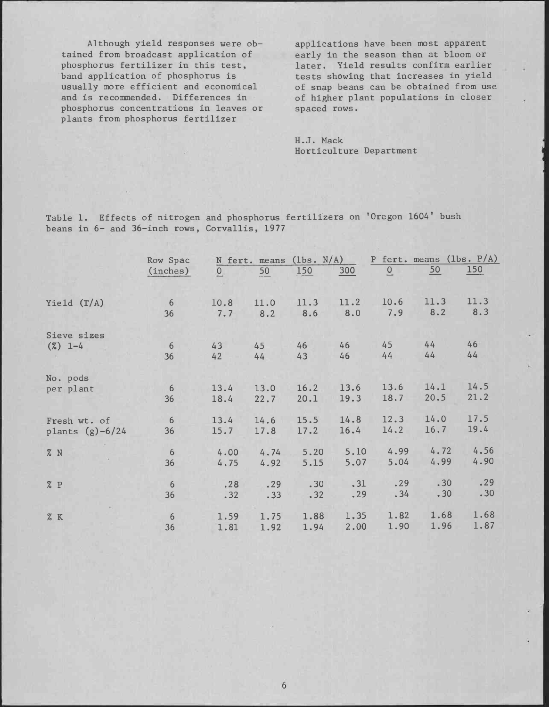Although yield responses were obtained from broadcast application of phosphorus fertilizer in this test, band application of phosphorus is usually more efficient and economical and is recommended. Differences in phosphorus concentrations in leaves or plants from phosphorus fertilizer

applications have been most apparent early in the season than at bloom or later. Yield results confirm earlier tests showing that increases in yield of snap beans can be obtained from use of higher plant populations in closer spaced rows.

H.J. Mack Horticulture Department

Table 1. Effects of nitrogen and phosphorus fertilizers on 'Oregon 1604' bush beans in 6- and 36-inch rows, Corvallis, 1977

|                    | Row Spac |          | N fert. means (1bs. N/A) |      |      |      | P fert. means (1bs. P/A) |      |  |
|--------------------|----------|----------|--------------------------|------|------|------|--------------------------|------|--|
|                    | (inches) | $\Omega$ | 50                       | 150  | 300  | Q    | $\frac{50}{1}$           | 150  |  |
| Yield $(T/A)$      | 6        | 10.8     | 11.0                     | 11.3 | 11.2 | 10.6 | 11.3                     | 11.3 |  |
|                    | 36       | 7.7      | 8.2                      | 8.6  | 8.0  | 7.9  | 8.2                      | 8.3  |  |
| Sieve sizes        |          |          |                          |      |      |      |                          |      |  |
| $(\%)$ 1-4         | 6        | 43       | 45                       | 46   | 46   | 45   | 44                       | 46   |  |
|                    | 36       | 42       | 44                       | 43   | 46   | 44   | 44                       | 44   |  |
| No. pods           |          |          |                          |      |      |      |                          |      |  |
| per plant          | 6        | 13.4     | 13.0                     | 16.2 | 13.6 | 13.6 | 14.1                     | 14.5 |  |
|                    | 36       | 18.4     | 22.7                     | 20.1 | 19.3 | 18.7 | 20.5                     | 21.2 |  |
| Fresh wt. of       | 6        | 13.4     | 14.6                     | 15.5 | 14.8 | 12.3 | 14.0                     | 17.5 |  |
| plants $(g)$ -6/24 | 36       | 15.7     | 17.8                     | 17.2 | 16.4 | 14.2 | 16.7                     | 19.4 |  |
| % N                | 6        | 4.00     | 4.74                     | 5.20 | 5.10 | 4.99 | 4.72                     | 4.56 |  |
|                    | 36       | 4.75     | 4.92                     | 5.15 | 5.07 | 5.04 | 4.99                     | 4.90 |  |
| % P                | 6        | .28      | .29                      | .30  | .31  | .29  | .30                      | .29  |  |
|                    | 36       | .32      | .33                      | .32  | .29  | .34  | .30                      | .30  |  |
| % K                | 6        | 1.59     | 1.75                     | 1.88 | 1.35 | 1.82 | 1.68                     | 1.68 |  |
|                    | 36       | 1.81     | 1.92                     | 1.94 | 2.00 | 1.90 | 1.96                     | 1.87 |  |